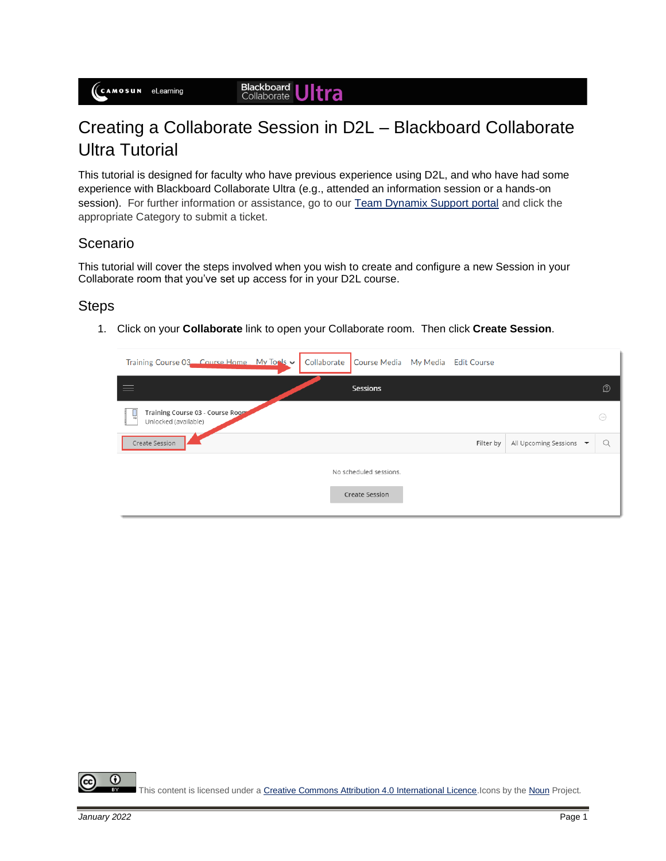# Creating a Collaborate Session in D2L – Blackboard Collaborate Ultra Tutorial

This tutorial is designed for faculty who have previous experience using D2L, and who have had some experience with Blackboard Collaborate Ultra (e.g., attended an information session or a hands-on session). For further information or assistance, go to our [Team Dynamix Support portal](https://camosun.teamdynamix.com/TDClient/67/Portal/Requests/ServiceCatalog?CategoryID=523) and click the appropriate Category to submit a ticket.

## Scenario

This tutorial will cover the steps involved when you wish to create and configure a new Session in your Collaborate room that you've set up access for in your D2L course.

#### **Steps**

1. Click on your **Collaborate** link to open your Collaborate room. Then click **Create Session**.

| Training Course 03 Course Home My Tools v                      | Collaborate<br>Course Media My Media Edit Course |           |                         |            |
|----------------------------------------------------------------|--------------------------------------------------|-----------|-------------------------|------------|
|                                                                | Sessions                                         |           |                         | D          |
| Training Course 03 - Course Room<br>L.<br>Unlocked (available) |                                                  |           |                         | $(\cdots)$ |
| Create Session                                                 |                                                  | Filter by | All Upcoming Sessions ▼ | $\Omega$   |
|                                                                | No scheduled sessions.                           |           |                         |            |
|                                                                | <b>Create Session</b>                            |           |                         |            |

 $\odot$ This content is licensed under [a Creative Commons Attribution 4.0 International Licence.I](https://creativecommons.org/licenses/by/4.0/)cons by th[e Noun](https://creativecommons.org/website-icons/) Project.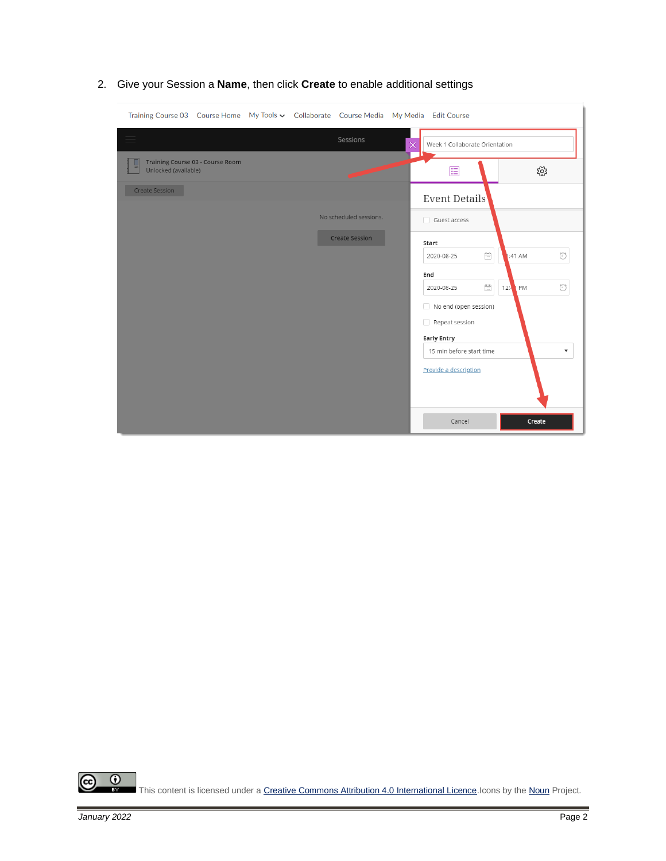| Training Course 03 Course Home My Tools v Collaborate Course Media My Media Edit Course |                        |                                                                                                                                                                                                                                            |  |  |
|-----------------------------------------------------------------------------------------|------------------------|--------------------------------------------------------------------------------------------------------------------------------------------------------------------------------------------------------------------------------------------|--|--|
| 三                                                                                       | Sessions               | $\times$<br>Week 1 Collaborate Orientation                                                                                                                                                                                                 |  |  |
| Training Course 03 - Course Room<br>Unlocked (available)                                |                        | ૹૢ૾ૺ<br>囯                                                                                                                                                                                                                                  |  |  |
| Create Session                                                                          |                        | Event Details                                                                                                                                                                                                                              |  |  |
|                                                                                         | No scheduled sessions. | Guest access                                                                                                                                                                                                                               |  |  |
|                                                                                         | <b>Create Session</b>  | Start                                                                                                                                                                                                                                      |  |  |
|                                                                                         |                        | Ë<br>:41 AM<br>2020-08-25<br>円                                                                                                                                                                                                             |  |  |
|                                                                                         |                        | End                                                                                                                                                                                                                                        |  |  |
|                                                                                         |                        | $\begin{tabular}{ c c } \hline \quad \quad & \quad \quad & \quad \quad \\ \hline \quad \quad & \quad \quad & \quad \quad \\ \hline \quad \quad & \quad \quad & \quad \quad \\ \hline \end{tabular}$<br>12:4<br>PM<br>$\circ$<br>2020-08-25 |  |  |
|                                                                                         |                        | No end (open session)                                                                                                                                                                                                                      |  |  |
|                                                                                         |                        | Repeat session                                                                                                                                                                                                                             |  |  |
|                                                                                         |                        | <b>Early Entry</b>                                                                                                                                                                                                                         |  |  |
|                                                                                         |                        | 15 min before start time<br>$\overline{\mathbf{v}}$                                                                                                                                                                                        |  |  |
|                                                                                         |                        | Provide a description                                                                                                                                                                                                                      |  |  |
|                                                                                         |                        | Cancel<br>Create                                                                                                                                                                                                                           |  |  |

2. Give your Session a **Name**, then click **Create** to enable additional settings

 $\frac{1}{\sqrt{2}}$ ල This content is licensed under [a Creative Commons Attribution 4.0 International Licence.I](https://creativecommons.org/licenses/by/4.0/)cons by th[e Noun](https://creativecommons.org/website-icons/) Project.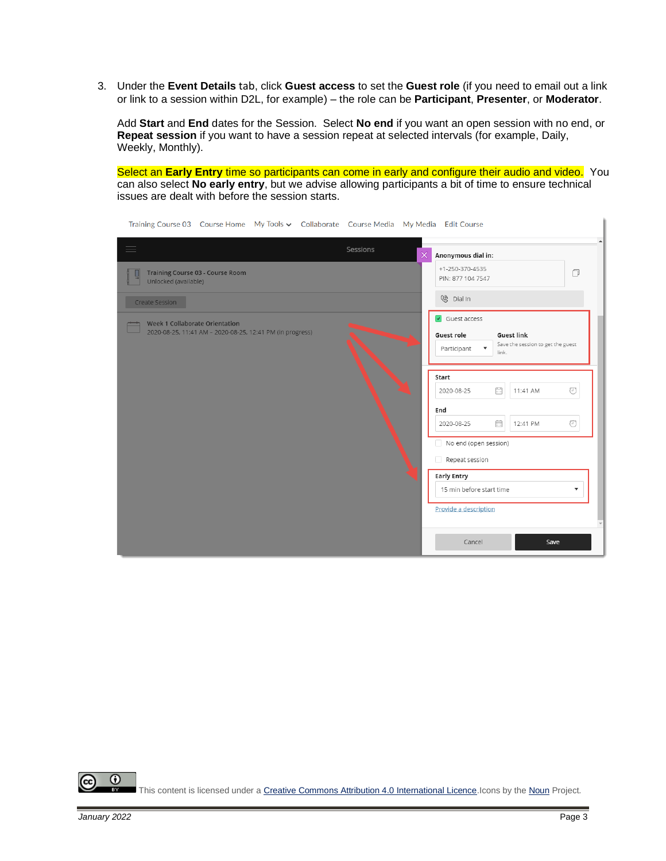3. Under the **Event Details** tab, click **Guest access** to set the **Guest role** (if you need to email out a link or link to a session within D2L, for example) – the role can be **Participant**, **Presenter**, or **Moderator**.

Add **Start** and **End** dates for the Session. Select **No end** if you want an open session with no end, or **Repeat session** if you want to have a session repeat at selected intervals (for example, Daily, Weekly, Monthly).

Select an **Early Entry** time so participants can come in early and configure their audio and video. You can also select **No early entry**, but we advise allowing participants a bit of time to ensure technical issues are dealt with before the session starts.

| Training Course 03 Course Home My Tools v Collaborate Course Media My Media Edit Course     |                                                                                                                                                      |  |  |
|---------------------------------------------------------------------------------------------|------------------------------------------------------------------------------------------------------------------------------------------------------|--|--|
| Sessions<br>$=$                                                                             | $\times$<br>Anonymous dial in:                                                                                                                       |  |  |
| <b>Training Course 03 - Course Room</b><br>Unlocked (available)                             | +1-250-370-4535<br>$\Box$<br>PIN: 877 104 7547                                                                                                       |  |  |
| Create Session                                                                              | <sup>⑧</sup> Dial In                                                                                                                                 |  |  |
| Week 1 Collaborate Orientation<br>2020-08-25, 11:41 AM - 2020-08-25, 12:41 PM (in progress) | $\sqrt{ }$ Guest access<br><b>Guest link</b><br>Guest role<br>Save the session to get the guest<br>$\boldsymbol{\mathrm{v}}$<br>Participant<br>link. |  |  |
|                                                                                             | Start<br>m<br>⊙<br>2020-08-25<br>11:41 AM<br>End                                                                                                     |  |  |
|                                                                                             | Ħ<br>$\odot$<br>2020-08-25<br>12:41 PM<br>No end (open session)<br>Repeat session                                                                    |  |  |
|                                                                                             | <b>Early Entry</b><br>15 min before start time<br>$\blacktriangledown$<br>Provide a description                                                      |  |  |
|                                                                                             | Cancel<br>Save                                                                                                                                       |  |  |

 $\odot$ This content is licensed under a Creative Commons Attribution 4.0 International Licence. Icons by th[e Noun](https://creativecommons.org/website-icons/) Project. k.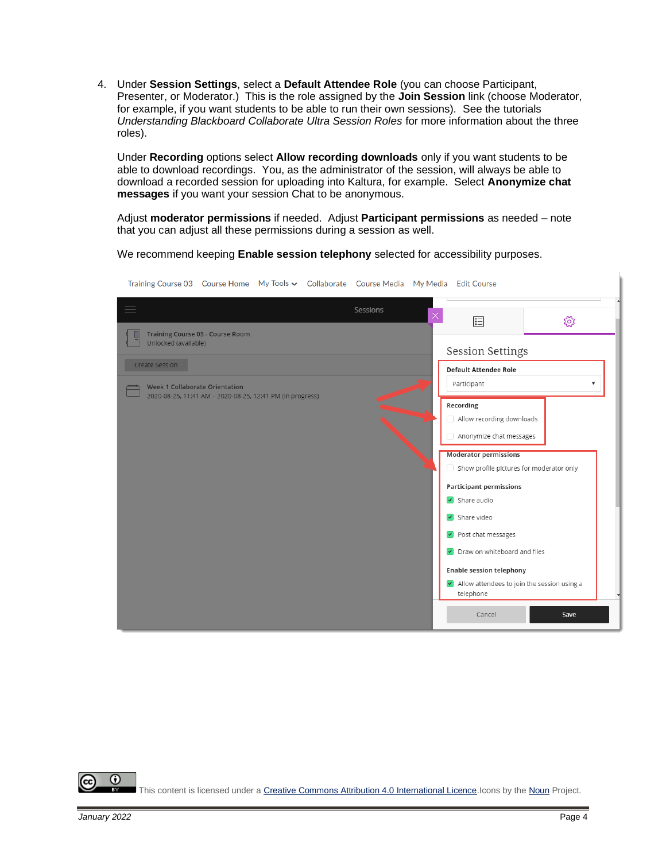4. Under **Session Settings**, select a **Default Attendee Role** (you can choose Participant, Presenter, or Moderator.) This is the role assigned by the **Join Session** link (choose Moderator, for example, if you want students to be able to run their own sessions). See the tutorials *Understanding Blackboard Collaborate Ultra Session Roles* for more information about the three roles).

Under **Recording** options select **Allow recording downloads** only if you want students to be able to download recordings. You, as the administrator of the session, will always be able to download a recorded session for uploading into Kaltura, for example. Select **Anonymize chat messages** if you want your session Chat to be anonymous.

Adjust **moderator permissions** if needed. Adjust **Participant permissions** as needed – note that you can adjust all these permissions during a session as well.

We recommend keeping **Enable session telephony** selected for accessibility purposes.

| Training Course O3 Course Home The Tools V Collaborate Course Media The Media Edit Course   |                                          |                                                            |      |  |
|---------------------------------------------------------------------------------------------|------------------------------------------|------------------------------------------------------------|------|--|
| $\equiv$<br>Sessions                                                                        | $\times$                                 | 囯                                                          | ద్ర  |  |
| Training Course 03 - Course Room<br>Unlocked (available)                                    |                                          | <b>Session Settings</b>                                    |      |  |
| Create Session                                                                              |                                          | <b>Default Attendee Role</b>                               |      |  |
| Week 1 Collaborate Orientation<br>2020-08-25, 11:41 AM - 2020-08-25, 12:41 PM (in progress) |                                          | Participant                                                |      |  |
|                                                                                             |                                          | Recording                                                  |      |  |
|                                                                                             |                                          | Allow recording downloads                                  |      |  |
|                                                                                             |                                          | Anonymize chat messages                                    |      |  |
|                                                                                             |                                          | <b>Moderator permissions</b>                               |      |  |
|                                                                                             | Show profile pictures for moderator only |                                                            |      |  |
|                                                                                             |                                          | <b>Participant permissions</b>                             |      |  |
|                                                                                             |                                          | $\triangleright$ Share audio                               |      |  |
|                                                                                             |                                          | $\sqrt{\phantom{a}}$ Share video                           |      |  |
|                                                                                             |                                          | $\triangleright$ Post chat messages                        |      |  |
|                                                                                             |                                          | Draw on whiteboard and files<br>$\prec$                    |      |  |
|                                                                                             |                                          | <b>Enable session telephony</b>                            |      |  |
|                                                                                             |                                          | I Allow attendees to join the session using a<br>telephone |      |  |
|                                                                                             |                                          | Cancel                                                     | Save |  |

Training Course 02 Course Home My Tools + Collaborate Course Media My Media Edit Course

 $\odot$ This content is licensed under [a Creative Commons Attribution 4.0 International Licence.I](https://creativecommons.org/licenses/by/4.0/)cons by th[e Noun](https://creativecommons.org/website-icons/) Project.